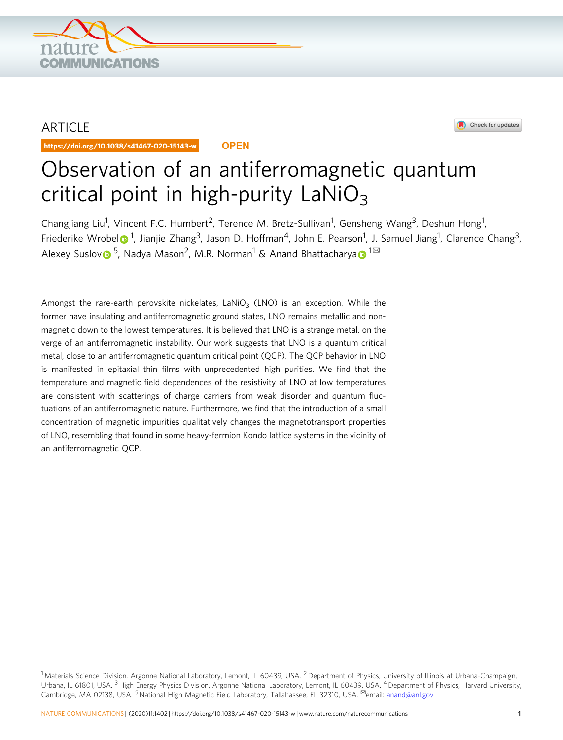

## ARTICLE

https://doi.org/10.1038/s41467-020-15143-w **OPEN**



# Observation of an antiferromagnetic quantum critical point in high-purity  $LaNiO<sub>3</sub>$

Changjiang Liu<sup>1</sup>, Vincent F.C. Humbert<sup>2</sup>, Terence M. Bretz-Sullivan<sup>1</sup>, Gensheng Wang<sup>3</sup>, Deshun Hong<sup>1</sup>, Friederike Wrobe[l](http://orcid.org/0000-0001-6556-1077)�� <sup>1</sup>, Jianjie Zhang<sup>3</sup>, Jason D. Hoffman<sup>4</sup>, John E. Pearson<sup>1</sup>, J. Samuel Jiang<sup>1</sup>, Clarence Chang<sup>3</sup>, Alexey Suslo[v](http://orcid.org/0000-0002-2224-153X)  $\bullet$  <sup>5</sup>, N[a](http://orcid.org/0000-0002-6839-6860)dya Mason<sup>2</sup>, M.R. Norman<sup>1</sup> & Anand Bhattacharya  $\bullet$  <sup>1⊠</sup>

Amongst the rare-earth perovskite nickelates, LaNiO<sub>3</sub> (LNO) is an exception. While the former have insulating and antiferromagnetic ground states, LNO remains metallic and nonmagnetic down to the lowest temperatures. It is believed that LNO is a strange metal, on the verge of an antiferromagnetic instability. Our work suggests that LNO is a quantum critical metal, close to an antiferromagnetic quantum critical point (QCP). The QCP behavior in LNO is manifested in epitaxial thin films with unprecedented high purities. We find that the temperature and magnetic field dependences of the resistivity of LNO at low temperatures are consistent with scatterings of charge carriers from weak disorder and quantum fluctuations of an antiferromagnetic nature. Furthermore, we find that the introduction of a small concentration of magnetic impurities qualitatively changes the magnetotransport properties of LNO, resembling that found in some heavy-fermion Kondo lattice systems in the vicinity of an antiferromagnetic QCP.

 $^1$ Materials Science Division, Argonne National Laboratory, Lemont, IL 60439, USA. <sup>2</sup> Department of Physics, University of Illinois at Urbana-Champaign, Urbana, IL 61801, USA. <sup>3</sup> High Energy Physics Division, Argonne National Laboratory, Lemont, IL 60439, USA. <sup>4</sup> Department of Physics, Harvard University, Cambridge, MA 02138, USA. <sup>5</sup>National High Magnetic Field Laboratory, Tallahassee, FL 32310, USA. <sup>⊠</sup>email: [anand@anl.gov](mailto:anand@anl.gov)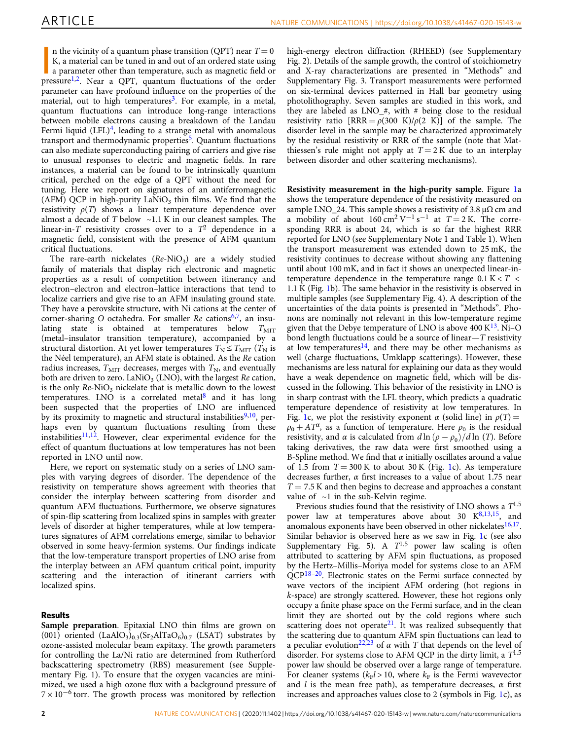n the vicinity of a quantum phase transition (QPT) near  $T = 0$ <br>K, a material can be tuned in and out of an ordered state using<br>a parameter other than temperature, such as magnetic field or<br>pressure<sup>[1,2](#page-5-0)</sup>. Near a QPT, quant n the vicinity of a quantum phase transition (QPT) near  $T = 0$ K, a material can be tuned in and out of an ordered state using a parameter other than temperature, such as magnetic field or parameter can have profound influence on the properties of the material, out to high temperatures<sup>[3](#page-5-0)</sup>. For example, in a metal, quantum fluctuations can introduce long-range interactions between mobile electrons causing a breakdown of the Landau Fermi liquid  $(LFL)<sup>4</sup>$ , leading to a strange metal with anomalous transport and thermodynamic properties $5$ . Quantum fluctuations can also mediate superconducting pairing of carriers and give rise to unusual responses to electric and magnetic fields. In rare instances, a material can be found to be intrinsically quantum critical, perched on the edge of a QPT without the need for tuning. Here we report on signatures of an antiferromagnetic (AFM) QCP in high-purity  $\text{LANiO}_3$  thin films. We find that the resistivity  $\rho(T)$  shows a linear temperature dependence over almost a decade of  $T$  below  $\sim$ 1.1 K in our cleanest samples. The linear-in-T resistivity crosses over to a  $T^2$  dependence in a magnetic field, consistent with the presence of AFM quantum critical fluctuations.

The rare-earth nickelates  $(Re-NiO<sub>3</sub>)$  are a widely studied family of materials that display rich electronic and magnetic properties as a result of competition between itinerancy and electron–electron and electron–lattice interactions that tend to localize carriers and give rise to an AFM insulating ground state. They have a perovskite structure, with Ni cations at the center of corner-sharing O octahedra. For smaller  $Re$  cations<sup>[6](#page-5-0),[7](#page-5-0)</sup>, an insulating state is obtained at temperatures below  $T<sub>MIT</sub>$ (metal–insulator transition temperature), accompanied by a structural distortion. At yet lower temperatures  $T_N \le T_{\text{MIT}}$  ( $T_N$  is the Néel temperature), an AFM state is obtained. As the Re cation radius increases,  $T_{\text{MIT}}$  decreases, merges with  $T_{\text{N}}$ , and eventually both are driven to zero. La $NiO<sub>3</sub>$  (LNO), with the largest Re cation, is the only  $Re\text{-NiO}_3$  nickelate that is metallic down to the lowest temperatures. LNO is a correlated metal<sup>8</sup> and it has long been suspected that the properties of LNO are influenced by its proximity to magnetic and structural instabilities $9,10$ , perhaps even by quantum fluctuations resulting from these instabilities $11,12$ . However, clear experimental evidence for the effect of quantum fluctuations at low temperatures has not been reported in LNO until now.

Here, we report on systematic study on a series of LNO samples with varying degrees of disorder. The dependence of the resistivity on temperature shows agreement with theories that consider the interplay between scattering from disorder and quantum AFM fluctuations. Furthermore, we observe signatures of spin-flip scattering from localized spins in samples with greater levels of disorder at higher temperatures, while at low temperatures signatures of AFM correlations emerge, similar to behavior observed in some heavy-fermion systems. Our findings indicate that the low-temperature transport properties of LNO arise from the interplay between an AFM quantum critical point, impurity scattering and the interaction of itinerant carriers with localized spins.

### Results

Sample preparation. Epitaxial LNO thin films are grown on (001) oriented  $(LaAlO<sub>3</sub>)<sub>0.3</sub>(Sr<sub>2</sub>AlTaO<sub>6</sub>)<sub>0.7</sub> (LSAT) substrates by$ ozone-assisted molecular beam expitaxy. The growth parameters for controlling the La/Ni ratio are determined from Rutherford backscattering spectrometry (RBS) measurement (see Supplementary Fig. 1). To ensure that the oxygen vacancies are minimized, we used a high ozone flux with a background pressure of  $7 \times 10^{-6}$  torr. The growth process was monitored by reflection

high-energy electron diffraction (RHEED) (see Supplementary Fig. 2). Details of the sample growth, the control of stoichiometry and X-ray characterizations are presented in "Methods" and Supplementary Fig. 3. Transport measurements were performed on six-terminal devices patterned in Hall bar geometry using photolithography. Seven samples are studied in this work, and they are labeled as LNO  $#$ , with  $#$  being close to the residual resistivity ratio  $[RRR = \rho(300 \text{ K})/\rho(2 \text{ K})]$  of the sample. The disorder level in the sample may be characterized approximately by the residual resistivity or RRR of the sample (note that Matthiessen's rule might not apply at  $T = 2K$  due to an interplay between disorder and other scattering mechanisms).

Resistivity measurement in the high-purity sample. Figure [1a](#page-2-0) shows the temperature dependence of the resistivity measured on sample LNO\_24. This sample shows a resistivity of 3.8  $\mu\Omega$  cm and a mobility of about  $160 \text{ cm}^2 \text{ V}^{-1} \text{ s}^{-1}$  at  $T = 2 \text{ K}$ . The corresponding RRR is about 24, which is so far the highest RRR reported for LNO (see Supplementary Note 1 and Table 1). When the transport measurement was extended down to 25 mK, the resistivity continues to decrease without showing any flattening until about 100 mK, and in fact it shows an unexpected linear-intemperature dependence in the temperature range  $0.1 K < T <$ 1.1 K (Fig. [1b](#page-2-0)). The same behavior in the resistivity is observed in multiple samples (see Supplementary Fig. 4). A description of the uncertainties of the data points is presented in "Methods". Phonons are nominally not relevant in this low-temperature regime given that the Debye temperature of LNO is above 400  $K^{13}$ . Ni–O bond length fluctuations could be a source of linear— $T$  resistivity at low temperatures<sup>14</sup>, and there may be other mechanisms as well (charge fluctuations, Umklapp scatterings). However, these mechanisms are less natural for explaining our data as they would have a weak dependence on magnetic field, which will be discussed in the following. This behavior of the resistivity in LNO is in sharp contrast with the LFL theory, which predicts a quadratic temperature dependence of resistivity at low temperatures. In Fig. [1](#page-2-0)c, we plot the resistivity exponent  $\alpha$  (solid line) in  $\rho(T) =$  $\rho_0 + AT^{\alpha}$ , as a function of temperature. Here  $\rho_0$  is the residual resistivity, and  $\alpha$  is calculated from  $d \ln (\rho - \rho_0)/d \ln (T)$ . Before taking derivatives, the raw data were first smoothed using a B-Spline method. We find that  $\alpha$  initially oscillates around a value of [1](#page-2-0).5 from  $T = 300$  K to about 30 K (Fig. 1c). As temperature decreases further,  $\alpha$  first increases to a value of about 1.75 near  $T = 7.5$  K and then begins to decrease and approaches a constant value of  $\sim$ 1 in the sub-Kelvin regime.

Previous studies found that the resistivity of LNO shows a  $T^{1.5}\,$ power law at temperatures above about 30  $K^{8,13,15}$  $K^{8,13,15}$  $K^{8,13,15}$  $K^{8,13,15}$  $K^{8,13,15}$  $K^{8,13,15}$  $K^{8,13,15}$ , and anomalous exponents have been observed in other nickelates<sup>16,17</sup>. Similar behavior is observed here as we saw in Fig. [1c](#page-2-0) (see also Supplementary Fig. 5). A  $T^{1.5}$  power law scaling is often attributed to scattering by AFM spin fluctuations, as proposed by the Hertz–Millis–Moriya model for systems close to an AFM QCP<sup>[18](#page-5-0)-20</sup>. Electronic states on the Fermi surface connected by wave vectors of the incipient AFM ordering (hot regions in k-space) are strongly scattered. However, these hot regions only occupy a finite phase space on the Fermi surface, and in the clean limit they are shorted out by the cold regions where such scattering does not operate<sup>21</sup>. It was realized subsequently that the scattering due to quantum AFM spin fluctuations can lead to a peculiar evolution<sup>[22,23](#page-5-0)</sup> of  $\alpha$  with T that depends on the level of disorder. For systems close to AFM QCP in the dirty limit, a  $T^{1.5}$ power law should be observed over a large range of temperature. For cleaner systems ( $k_F l > 10$ , where  $k_F$  is the Fermi wavevector and l is the mean free path), as temperature decreases,  $\alpha$  first increases and approaches values close to 2 (symbols in Fig. [1](#page-2-0)c), as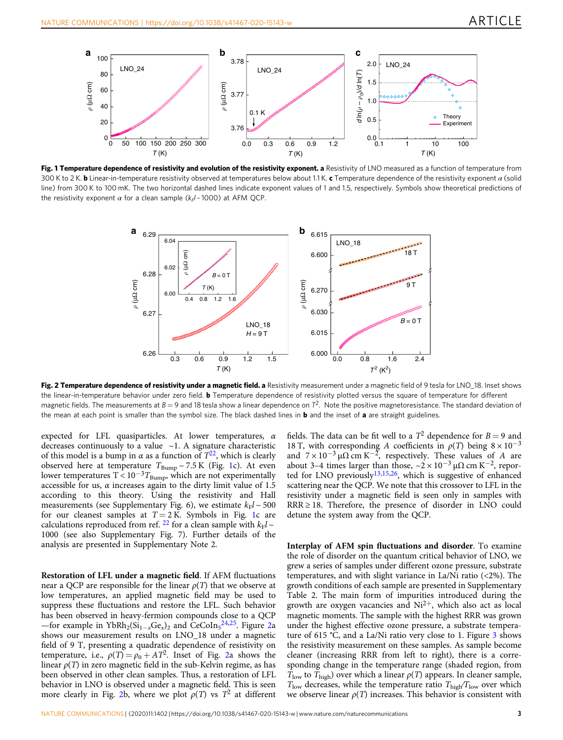<span id="page-2-0"></span>

Fig. 1 Temperature dependence of resistivity and evolution of the resistivity exponent. a Resistivity of LNO measured as a function of temperature from 300 K to 2 K. **b** Linear-in-temperature resistivity observed at temperatures below about 1.1 K. c Temperature dependence of the resistivity exponent  $\alpha$  (solid line) from 300 K to 100 mK. The two horizontal dashed lines indicate exponent values of 1 and 1.5, respectively. Symbols show theoretical predictions of the resistivity exponent  $\alpha$  for a clean sample ( $k_F$ / ~ 1000) at AFM QCP.



Fig. 2 Temperature dependence of resistivity under a magnetic field. a Resistivity measurement under a magnetic field of 9 tesla for LNO 18. Inset shows the linear-in-temperature behavior under zero field. **b** Temperature dependence of resistivity plotted versus the square of temperature for different magnetic fields. The measurements at  $B = 9$  and 18 tesla show a linear dependence on  $7^2$ . Note the positive magnetoresistance. The standard deviation of the mean at each point is smaller than the symbol size. The black dashed lines in  **and the inset of**  $**a**$  **are straight guidelines.** 

expected for LFL quasiparticles. At lower temperatures,  $\alpha$ decreases continuously to a value  $\sim$ 1. A signature characteristic of this model is a bump in  $\alpha$  as a function of  $T^{22}$ , which is clearly observed here at temperature  $T_{\text{Bump}} \sim 7.5 \text{ K}$  (Fig. 1c). At even lower temperatures T <  $10^{-3}T_{\text{Bump}}$ , which are not experimentally accessible for us,  $\alpha$  increases again to the dirty limit value of 1.5 according to this theory. Using the resistivity and Hall measurements (see Supplementary Fig. 6), we estimate  $k_F l \sim 500$ for our cleanest samples at  $T = 2$  K. Symbols in Fig. 1c are calculations reproduced from ref. <sup>[22](#page-5-0)</sup> for a clean sample with  $k_F l \sim$ 1000 (see also Supplementary Fig. 7). Further details of the analysis are presented in Supplementary Note 2.

Restoration of LFL under a magnetic field. If AFM fluctuations near a QCP are responsible for the linear  $\rho(T)$  that we observe at low temperatures, an applied magnetic field may be used to suppress these fluctuations and restore the LFL. Such behavior has been observed in heavy-fermion compounds close to a QCP —for example in YbRh<sub>2</sub>(Si<sub>1–x</sub>Ge<sub>x</sub>)<sub>2</sub> and CeCoIn<sub>5</sub><sup>[24](#page-5-0),[25](#page-5-0)</sup>. Figure 2a shows our measurement results on LNO\_18 under a magnetic field of 9 T, presenting a quadratic dependence of resistivity on temperature, i.e.,  $\rho(T) = \rho_0 + AT^2$ . Inset of Fig. 2a shows the linear  $\rho(T)$  in zero magnetic field in the sub-Kelvin regime, as has been observed in other clean samples. Thus, a restoration of LFL behavior in LNO is observed under a magnetic field. This is seen more clearly in Fig. 2b, where we plot  $\rho(T)$  vs  $T^2$  at different fields. The data can be fit well to a  $T^2$  dependence for  $B = 9$  and 18 T, with corresponding A coefficients in  $\rho(T)$  being  $8 \times 10^{-3}$ and  $7 \times 10^{-3} \mu\Omega$  cm K<sup>-2</sup>, respectively. These values of A are about 3–4 times larger than those,  $\sim$ 2 × 10<sup>-3</sup> µ $\Omega$  cm K<sup>-2</sup>, reported for LNO previously $13,15,26$ , which is suggestive of enhanced scattering near the QCP. We note that this crossover to LFL in the resistivity under a magnetic field is seen only in samples with RRR ≥ 18. Therefore, the presence of disorder in LNO could detune the system away from the QCP.

Interplay of AFM spin fluctuations and disorder. To examine the role of disorder on the quantum critical behavior of LNO, we grew a series of samples under different ozone pressure, substrate temperatures, and with slight variance in La/Ni ratio (<2%). The growth conditions of each sample are presented in Supplementary Table 2. The main form of impurities introduced during the growth are oxygen vacancies and  $Ni^{2+}$ , which also act as local magnetic moments. The sample with the highest RRR was grown under the highest effective ozone pressure, a substrate temperature of 615 <sup>∘</sup> C, and a La/Ni ratio very close to 1. Figure [3](#page-3-0) shows the resistivity measurement on these samples. As sample become cleaner (increasing RRR from left to right), there is a corresponding change in the temperature range (shaded region, from  $T_{\text{low}}$  to  $T_{\text{high}}$ ) over which a linear  $\rho(T)$  appears. In cleaner sample,  $T_{\text{low}}$  decreases, while the temperature ratio  $T_{\text{high}}/T_{\text{low}}$  over which we observe linear  $\rho(T)$  increases. This behavior is consistent with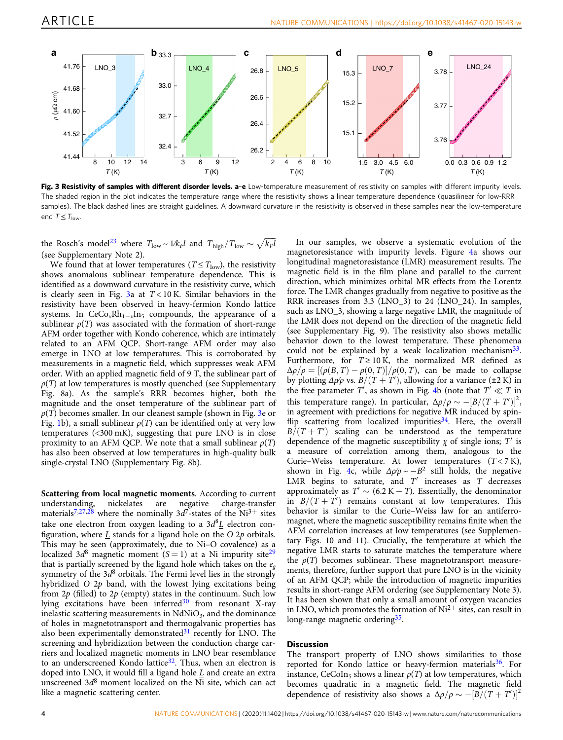<span id="page-3-0"></span>

Fig. 3 Resistivity of samples with different disorder levels. a-e Low-temperature measurement of resistivity on samples with different impurity levels. The shaded region in the plot indicates the temperature range where the resistivity shows a linear temperature dependence (quasilinear for low-RRR samples). The black dashed lines are straight guidelines. A downward curvature in the resistivity is observed in these samples near the low-temperature end  $T \leq T_{\text{low}}$ .

the Rosch's model<sup>23</sup> where  $T_{\text{low}} \sim \frac{1}{k_F}$  and  $T_{\text{high}}/T_{\text{low}} \sim \sqrt{k_F}$ (see Supplementary Note 2).

We found that at lower temperatures ( $T \le T_{\text{low}}$ ), the resistivity shows anomalous sublinear temperature dependence. This is identified as a downward curvature in the resistivity curve, which is clearly seen in Fig. 3a at  $T < 10$  K. Similar behaviors in the resistivity have been observed in heavy-fermion Kondo lattice systems. In  $CeCo_xRh_{1-x}In_5$  compounds, the appearance of a sublinear  $\rho(T)$  was associated with the formation of short-range AFM order together with Kondo coherence, which are intimately related to an AFM QCP. Short-range AFM order may also emerge in LNO at low temperatures. This is corroborated by measurements in a magnetic field, which suppresses weak AFM order. With an applied magnetic field of 9 T, the sublinear part of  $\rho(T)$  at low temperatures is mostly quenched (see Supplementary Fig. 8a). As the sample's RRR becomes higher, both the magnitude and the onset temperature of the sublinear part of  $\rho(T)$  becomes smaller. In our cleanest sample (shown in Fig. 3e or Fig. [1b](#page-2-0)), a small sublinear  $\rho(T)$  can be identified only at very low temperatures (<300 mK), suggesting that pure LNO is in close proximity to an AFM QCP. We note that a small sublinear  $\rho(T)$ has also been observed at low temperatures in high-quality bulk single-crystal LNO (Supplementary Fig. 8b).

**Scattering from local magnetic moments**. According to current understanding, nickelates are negative charge-transfer nickelates are negative charge-transfer materials<sup>[7,27,28](#page-5-0)</sup> where the nominally 3d<sup>7</sup>-states of the Ni<sup>3+</sup> sites take one electron from oxygen leading to a  $3d^8\underline{L}$  electron configuration, where  $\underline{L}$  stands for a ligand hole on the O 2p orbitals. This may be seen (approximately, due to Ni–O covalence) as a localized 3d<sup>8</sup> magnetic moment (S = 1) at a Ni impurity site<sup>29</sup> that is partially screened by the ligand hole which takes on the  $e_{\varphi}$ symmetry of the  $3d^8$  orbitals. The Fermi level lies in the strongly hybridized O 2p band, with the lowest lying excitations being from  $2p$  (filled) to  $2p$  (empty) states in the continuum. Such low lying excitations have been inferred $30$  from resonant X-ray inelastic scattering measurements in  $NdNiO<sub>3</sub>$ , and the dominance of holes in magnetotransport and thermogalvanic properties has also been experimentally demonstrated $31$  recently for LNO. The screening and hybridization between the conduction charge carriers and localized magnetic moments in LNO bear resemblance to an underscreened Kondo lattice<sup>32</sup>. Thus, when an electron is doped into LNO, it would fill a ligand hole  $L$  and create an extra unscreened  $3d^8$  moment localized on the Ni site, which can act like a magnetic scattering center.

In our samples, we observe a systematic evolution of the magnetoresistance with impurity levels. Figure [4a](#page-4-0) shows our longitudinal magnetoresistance (LMR) measurement results. The magnetic field is in the film plane and parallel to the current direction, which minimizes orbital MR effects from the Lorentz force. The LMR changes gradually from negative to positive as the RRR increases from 3.3 (LNO\_3) to 24 (LNO\_24). In samples, such as LNO\_3, showing a large negative LMR, the magnitude of the LMR does not depend on the direction of the magnetic field (see Supplementary Fig. 9). The resistivity also shows metallic behavior down to the lowest temperature. These phenomena could not be explained by a weak localization mechanism $33$ . Furthermore, for  $T \ge 10$  K, the normalized MR defined as  $\Delta \rho / \rho = [(\rho(B, T) - \rho(0, T)] / \rho(0, T)]$ , can be made to collapse by plotting Δρ/ρ vs.  $B/(T + T')$ , allowing for a variance (±2 K) in the free parameter T', as shown in Fig. [4](#page-4-0)b (note that  $T' \ll T$  in this temperature range). In particular,  $\Delta \rho / \rho \sim -[B/(T+T')]^2$ , in agreement with predictions for negative MR induced by spinflip scattering from localized impurities $34$ . Here, the overall  $B/(T+T')$  scaling can be understood as the temperature dependence of the magnetic susceptibility  $\chi$  of single ions; T' is a measure of correlation among them, analogous to the Curie–Weiss temperature. At lower temperatures  $(T < 7 K)$ , shown in Fig. [4](#page-4-0)c, while  $\Delta \rho / \rho \sim -B^2$  still holds, the negative LMR begins to saturate, and  $T'$  increases as  $T$  decreases approximately as  $T' \sim (6.2 \text{ K} - T)$ . Essentially, the denominator in  $B/(T+T')$  remains constant at low temperatures. This behavior is similar to the Curie–Weiss law for an antiferromagnet, where the magnetic susceptibility remains finite when the AFM correlation increases at low temperatures (see Supplementary Figs. 10 and 11). Crucially, the temperature at which the negative LMR starts to saturate matches the temperature where the  $\rho(T)$  becomes sublinear. These magnetotransport measurements, therefore, further support that pure LNO is in the vicinity of an AFM QCP; while the introduction of magnetic impurities results in short-range AFM ordering (see Supplementary Note 3). It has been shown that only a small amount of oxygen vacancies in LNO, which promotes the formation of  $Ni^{2+}$  sites, can result in long-range magnetic ordering<sup>35</sup>.

#### **Discussion**

The transport property of LNO shows similarities to those reported for Kondo lattice or heavy-fermion materials<sup>36</sup>. For instance, CeCoIn<sub>5</sub> shows a linear  $\rho(T)$  at low temperatures, which becomes quadratic in a magnetic field. The magnetic field dependence of resistivity also shows a  $\Delta \rho / \rho \sim -[B/(T+T')]^2$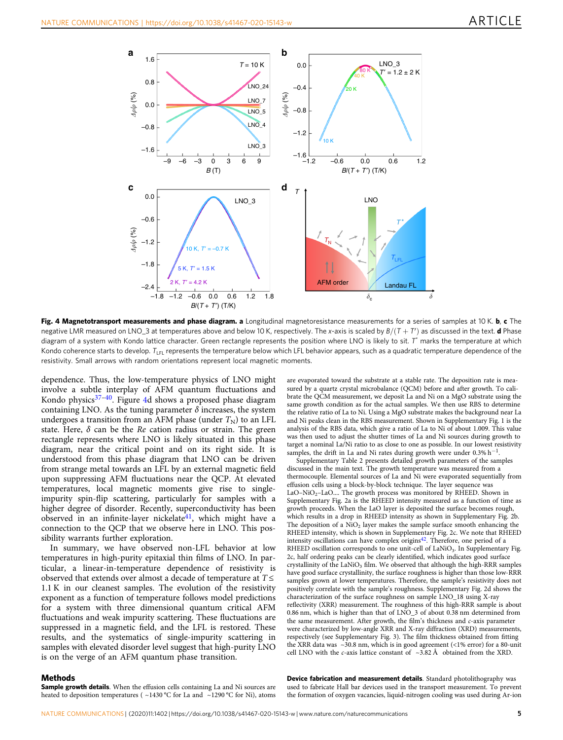<span id="page-4-0"></span>

Fig. 4 Magnetotransport measurements and phase diagram. a Longitudinal magnetoresistance measurements for a series of samples at 10 K. b, c The negative LMR measured on LNO\_3 at temperatures above and below 10 K, respectively. The x-axis is scaled by  $B/(T+T')$  as discussed in the text. **d** Phase diagram of a system with Kondo lattice character. Green rectangle represents the position where LNO is likely to sit. T\* marks the temperature at which Kondo coherence starts to develop. T<sub>LFL</sub> represents the temperature below which LFL behavior appears, such as a quadratic temperature dependence of the resistivity. Small arrows with random orientations represent local magnetic moments.

dependence. Thus, the low-temperature physics of LNO might involve a subtle interplay of AFM quantum fluctuations and Kondo physics<sup>[37](#page-5-0)-40</sup>. Figure 4d shows a proposed phase diagram containing LNO. As the tuning parameter  $\delta$  increases, the system undergoes a transition from an AFM phase (under  $T_N$ ) to an LFL state. Here,  $\delta$  can be the Re cation radius or strain. The green rectangle represents where LNO is likely situated in this phase diagram, near the critical point and on its right side. It is understood from this phase diagram that LNO can be driven from strange metal towards an LFL by an external magnetic field upon suppressing AFM fluctuations near the QCP. At elevated temperatures, local magnetic moments give rise to singleimpurity spin-flip scattering, particularly for samples with a higher degree of disorder. Recently, superconductivity has been observed in an infinite-layer nickelate $41$ , which might have a connection to the QCP that we observe here in LNO. This possibility warrants further exploration.

In summary, we have observed non-LFL behavior at low temperatures in high-purity epitaxial thin films of LNO. In particular, a linear-in-temperature dependence of resistivity is observed that extends over almost a decade of temperature at  $T \leq$  $1.1 K$  in our cleanest samples. The evolution of the resistivity exponent as a function of temperature follows model predictions for a system with three dimensional quantum critical AFM fluctuations and weak impurity scattering. These fluctuations are suppressed in a magnetic field, and the LFL is restored. These results, and the systematics of single-impurity scattering in samples with elevated disorder level suggest that high-purity LNO is on the verge of an AFM quantum phase transition.

are evaporated toward the substrate at a stable rate. The deposition rate is measured by a quartz crystal microbalance (QCM) before and after growth. To calibrate the QCM measurement, we deposit La and Ni on a MgO substrate using the same growth condition as for the actual samples. We then use RBS to determine the relative ratio of La to Ni. Using a MgO substrate makes the background near La and Ni peaks clean in the RBS measurement. Shown in Supplementary Fig. 1 is the analysis of the RBS data, which give a ratio of La to Ni of about 1.009. This value was then used to adjust the shutter times of La and Ni sources during growth to target a nominal La/Ni ratio to as close to one as possible. In our lowest resistivity samples, the drift in La and Ni rates during growth were under  $0.3\%$  h<sup>-1</sup>.

Supplementary Table 2 presents detailed growth parameters of the samples discussed in the main text. The growth temperature was measured from a thermocouple. Elemental sources of La and Ni were evaporated sequentially from effusion cells using a block-by-block technique. The layer sequence was LaO-NiO<sub>2</sub>-LaO.... The growth process was monitored by RHEED. Shown in Supplementary Fig. 2a is the RHEED intensity measured as a function of time as growth proceeds. When the LaO layer is deposited the surface becomes rough, which results in a drop in RHEED intensity as shown in Supplementary Fig. 2b. The deposition of a  $NiO<sub>2</sub>$  layer makes the sample surface smooth enhancing the RHEED intensity, which is shown in Supplementary Fig. 2c. We note that RHEED intensity oscillations can have complex origins<sup>42</sup>. Therefore, one period of a RHEED oscillation corresponds to one unit-cell of LaNiO<sub>3</sub>. In Supplementary Fig. 2c, half ordering peaks can be clearly identified, which indicates good surface crystallinity of the LaNiO<sub>3</sub> film. We observed that although the high-RRR samples have good surface crystallinity, the surface roughness is higher than those low-RRR samples grown at lower temperatures. Therefore, the sample's resistivity does not positively correlate with the sample's roughness. Supplementary Fig. 2d shows the characterization of the surface roughness on sample LNO\_18 using X-ray reflectivity (XRR) measurement. The roughness of this high-RRR sample is about 0.86 nm, which is higher than that of LNO\_3 of about 0.38 nm determined from the same measurement. After growth, the film's thickness and c-axis parameter were characterized by low-angle XRR and X-ray diffraction (XRD) measurements, respectively (see Supplementary Fig. 3). The film thickness obtained from fitting the XRR data was ~30.8 nm, which is in good agreement (<1% error) for a 80-unit cell LNO with the c-axis lattice constant of  $\sim$ 3.82 Å obtained from the XRD.

#### Methods

Sample growth details. When the effusion cells containing La and Ni sources are heated to deposition temperatures ( ~1430 °C for La and ~1290 °C for Ni), atoms

Device fabrication and measurement details. Standard photolithography was used to fabricate Hall bar devices used in the transport measurement. To prevent the formation of oxygen vacancies, liquid-nitrogen cooling was used during Ar-ion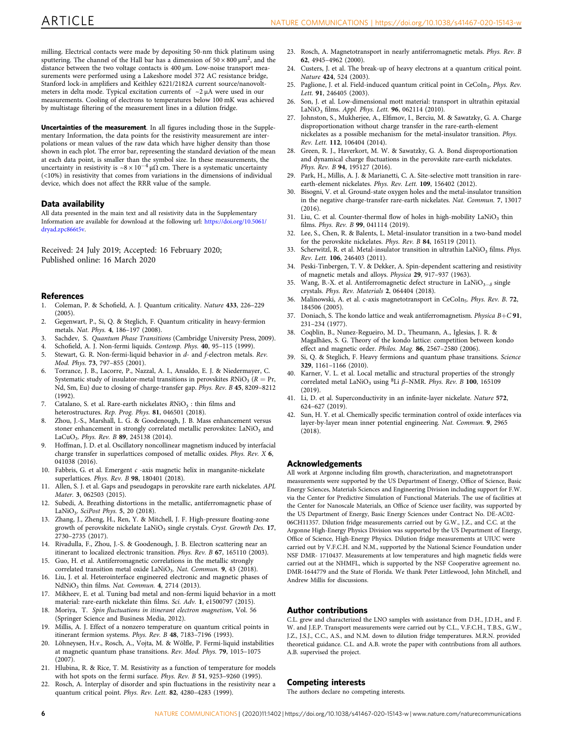<span id="page-5-0"></span>milling. Electrical contacts were made by depositing 50-nm thick platinum using sputtering. The channel of the Hall bar has a dimension of  $50 \times 800 \,\mu m^2$ , and the distance between the two voltage contacts is 400 μm. Low-noise transport measurements were performed using a Lakeshore model 372 AC resistance bridge, Stanford lock-in amplifiers and Keithley 6221/2182A current source/nanovoltmeters in delta mode. Typical excitation currents of ~2 μA were used in our measurements. Cooling of electrons to temperatures below 100 mK was achieved by multistage filtering of the measurement lines in a dilution fridge.

Uncertainties of the measurement. In all figures including those in the Supplementary Information, the data points for the resistivity measurement are interpolations or mean values of the raw data which have higher density than those shown in each plot. The error bar, representing the standard deviation of the mean at each data point, is smaller than the symbol size. In these measurements, the uncertainty in resistivity is  $\sim 8 \times 10^{-4} \mu \Omega$  cm. There is a systematic uncertainty (<10%) in resistivity that comes from variations in the dimensions of individual device, which does not affect the RRR value of the sample.

#### Data availability

All data presented in the main text and all resistivity data in the Supplementary Information are available for download at the following url: [https://doi.org/10.5061/](https://doi.org/10.5061/dryad.zpc866t5v) [dryad.zpc866t5v](https://doi.org/10.5061/dryad.zpc866t5v).

Received: 24 July 2019; Accepted: 16 February 2020; Published online: 16 March 2020

#### **References**

- 1. Coleman, P. & Schofield, A. J. Quantum criticality. Nature 433, 226–229 (2005).
- 2. Gegenwart, P., Si, Q. & Steglich, F. Quantum criticality in heavy-fermion metals. Nat. Phys. 4, 186–197 (2008).
- 3. Sachdev, S. Quantum Phase Transitions (Cambridge University Press, 2009).
- 4. Schofield, A. J. Non-fermi liquids. Contemp. Phys. 40, 95–115 (1999).
- 5. Stewart, G. R. Non-fermi-liquid behavior in d- and f-electron metals. Rev. Mod. Phys. 73, 797–855 (2001).
- 6. Torrance, J. B., Lacorre, P., Nazzal, A. I., Ansaldo, E. J. & Niedermayer, C. Systematic study of insulator-metal transitions in perovskites  $RNiO<sub>3</sub>$  ( $R = Pr$ , Nd, Sm, Eu) due to closing of charge-transfer gap. Phys. Rev. B 45, 8209–8212 (1992).
- 7. Catalano, S. et al. Rare-earth nickelates  $RNiO<sub>3</sub>$ : thin films and heterostructures. Rep. Prog. Phys. 81, 046501 (2018).
- 8. Zhou, J.-S., Marshall, L. G. & Goodenough, J. B. Mass enhancement versus stoner enhancement in strongly correlated metallic perovskites: LaNiO<sub>3</sub> and LaCuO<sub>3</sub>. Phys. Rev. B 89, 245138 (2014).
- 9. Hoffman, J. D. et al. Oscillatory noncollinear magnetism induced by interfacial charge transfer in superlattices composed of metallic oxides. Phys. Rev. X 6, 041038 (2016).
- 10. Fabbris, G. et al. Emergent  $c$  -axis magnetic helix in manganite-nickelate superlattices. Phys. Rev. B 98, 180401 (2018).
- 11. Allen, S. J. et al. Gaps and pseudogaps in perovskite rare earth nickelates. APL Mater. 3, 062503 (2015).
- 12. Subedi, A. Breathing distortions in the metallic, antiferromagnetic phase of LaNiO<sub>3</sub>. SciPost Phys. 5, 20 (2018).
- 13. Zhang, J., Zheng, H., Ren, Y. & Mitchell, J. F. High-pressure floating-zone growth of perovskite nickelate LaNiO<sub>3</sub> single crystals. Cryst. Growth Des. 17, 2730–2735 (2017).
- 14. Rivadulla, F., Zhou, J.-S. & Goodenough, J. B. Electron scattering near an itinerant to localized electronic transition. Phys. Rev. B 67, 165110 (2003).
- 15. Guo, H. et al. Antiferromagnetic correlations in the metallic strongly correlated transition metal oxide LaNiO<sub>3</sub>. Nat. Commun. 9, 43 (2018).
- 16. Liu, J. et al. Heterointerface engineered electronic and magnetic phases of NdNiO<sub>3</sub> thin films. Nat. Commun. 4, 2714 (2013).
- 17. Mikheev, E. et al. Tuning bad metal and non-fermi liquid behavior in a mott material: rare-earth nickelate thin films. Sci. Adv. 1, e1500797 (2015).
- 18. Moriya, T. Spin fluctuations in itinerant electron magnetism, Vol. 56 (Springer Science and Business Media, 2012).
- Millis, A. J. Effect of a nonzero temperature on quantum critical points in itinerant fermion systems. Phys. Rev. B 48, 7183–7196 (1993).
- 20. Löhneysen, H.v., Rosch, A., Vojta, M. & Wölfle, P. Fermi-liquid instabilities at magnetic quantum phase transitions. Rev. Mod. Phys. 79, 1015–1075 (2007).
- Hlubina, R. & Rice, T. M. Resistivity as a function of temperature for models with hot spots on the fermi surface. Phys. Rev. B 51, 9253–9260 (1995).
- 22. Rosch, A. Interplay of disorder and spin fluctuations in the resistivity near a quantum critical point. Phys. Rev. Lett. 82, 4280–4283 (1999).
- 23. Rosch, A. Magnetotransport in nearly antiferromagnetic metals. Phys. Rev. B 62, 4945–4962 (2000).
- 24. Custers, J. et al. The break-up of heavy electrons at a quantum critical point. Nature 424, 524 (2003).
- 25. Paglione, J. et al. Field-induced quantum critical point in CeCoIn<sub>5</sub>. Phys. Rev. Lett. 91, 246405 (2003).
- 26. Son, J. et al. Low-dimensional mott material: transport in ultrathin epitaxial LaNiO<sub>3</sub> films. Appl. Phys. Lett. **96**, 062114 (2010).
- 27. Johnston, S., Mukherjee, A., Elfimov, I., Berciu, M. & Sawatzky, G. A. Charge disproportionation without charge transfer in the rare-earth-element nickelates as a possible mechanism for the metal-insulator transition. Phys. Rev. Lett. 112, 106404 (2014).
- 28. Green, R. J., Haverkort, M. W. & Sawatzky, G. A. Bond disproportionation and dynamical charge fluctuations in the perovskite rare-earth nickelates. Phys. Rev. B 94, 195127 (2016).
- 29. Park, H., Millis, A. J. & Marianetti, C. A. Site-selective mott transition in rareearth-element nickelates. Phys. Rev. Lett. 109, 156402 (2012).
- 30. Bisogni, V. et al. Ground-state oxygen holes and the metal-insulator transition in the negative charge-transfer rare-earth nickelates. Nat. Commun. 7, 13017  $(2016)$
- 31. Liu, C. et al. Counter-thermal flow of holes in high-mobility  $LaNiO<sub>3</sub>$  thin films. Phys. Rev. B 99, 041114 (2019).
- 32. Lee, S., Chen, R. & Balents, L. Metal-insulator transition in a two-band model for the perovskite nickelates. Phys. Rev. B 84, 165119 (2011).
- 33. Scherwitzl, R. et al. Metal-insulator transition in ultrathin LaNiO<sub>3</sub> films. Phys. Rev. Lett. 106, 246403 (2011).
- 34. Peski-Tinbergen, T. V. & Dekker, A. Spin-dependent scattering and resistivity of magnetic metals and alloys. Physica 29, 917–937 (1963).
- 35. Wang, B.-X. et al. Antiferromagnetic defect structure in LaNiO<sub>3−δ</sub> single crystals. Phys. Rev. Materials 2, 064404 (2018).
- 36. Malinowski, A. et al. c-axis magnetotransport in CeCoIn<sub>5</sub>. Phys. Rev. B. 72, 184506 (2005).
- 37. Doniach, S. The kondo lattice and weak antiferromagnetism. Physica  $B+C$  91, 231–234 (1977).
- 38. Coqblin, B., Nunez-Regueiro, M. D., Theumann, A., Iglesias, J. R. & Magalhães, S. G. Theory of the kondo lattice: competition between kondo effect and magnetic order. Philos. Mag. 86, 2567–2580 (2006).
- 39. Si, Q. & Steglich, F. Heavy fermions and quantum phase transitions. Science 329, 1161–1166 (2010).
- 40. Karner, V. L. et al. Local metallic and structural properties of the strongly correlated metal LaNiO<sub>3</sub> using <sup>8</sup>Li  $\beta$ -NMR. Phys. Rev. B 100, 165109 (2019).
- 41. Li, D. et al. Superconductivity in an infinite-layer nickelate. Nature 572, 624–627 (2019).
- 42. Sun, H. Y. et al. Chemically specific termination control of oxide interfaces via layer-by-layer mean inner potential engineering. Nat. Commun. 9, 2965 (2018).

#### Acknowledgements

All work at Argonne including film growth, characterization, and magnetotransport measurements were supported by the US Department of Energy, Office of Science, Basic Energy Sciences, Materials Sciences and Engineering Division including support for F.W. via the Center for Predictive Simulation of Functional Materials. The use of facilities at the Center for Nanoscale Materials, an Office of Science user facility, was supported by the US Department of Energy, Basic Energy Sciences under Contract No. DE-AC02- 06CH11357. Dilution fridge measurements carried out by G.W., J.Z., and C.C. at the Argonne High-Energy Physics Division was supported by the US Department of Energy, Office of Science, High-Energy Physics. Dilution fridge measurements at UIUC were carried out by V.F.C.H. and N.M., supported by the National Science Foundation under NSF DMR- 1710437. Measurements at low temperatures and high magnetic fields were carried out at the NHMFL, which is supported by the NSF Cooperative agreement no. DMR-1644779 and the State of Florida. We thank Peter Littlewood, John Mitchell, and Andrew Millis for discussions.

#### Author contributions

C.L. grew and characterized the LNO samples with assistance from D.H., J.D.H., and F. W. and J.E.P. Transport measurements were carried out by C.L., V.F.C.H., T.B.S., G.W., J.Z., J.S.J., C.C., A.S., and N.M. down to dilution fridge temperatures. M.R.N. provided theoretical guidance. C.L. and A.B. wrote the paper with contributions from all authors. A.B. supervised the project.

#### Competing interests

The authors declare no competing interests.